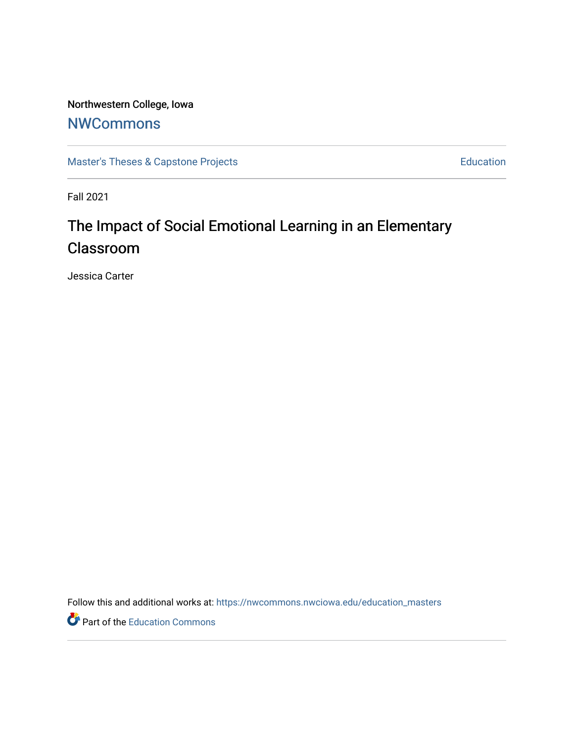# Northwestern College, Iowa

# **[NWCommons](https://nwcommons.nwciowa.edu/)**

[Master's Theses & Capstone Projects](https://nwcommons.nwciowa.edu/education_masters) **Education** Education

Fall 2021

# The Impact of Social Emotional Learning in an Elementary Classroom

Jessica Carter

Follow this and additional works at: [https://nwcommons.nwciowa.edu/education\\_masters](https://nwcommons.nwciowa.edu/education_masters?utm_source=nwcommons.nwciowa.edu%2Feducation_masters%2F363&utm_medium=PDF&utm_campaign=PDFCoverPages)

Part of the [Education Commons](http://network.bepress.com/hgg/discipline/784?utm_source=nwcommons.nwciowa.edu%2Feducation_masters%2F363&utm_medium=PDF&utm_campaign=PDFCoverPages)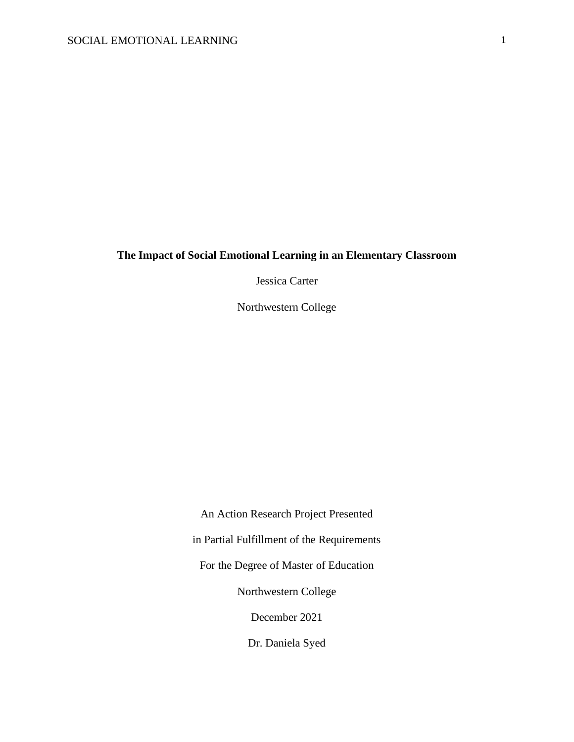## **The Impact of Social Emotional Learning in an Elementary Classroom**

Jessica Carter

Northwestern College

An Action Research Project Presented in Partial Fulfillment of the Requirements For the Degree of Master of Education Northwestern College December 2021 Dr. Daniela Syed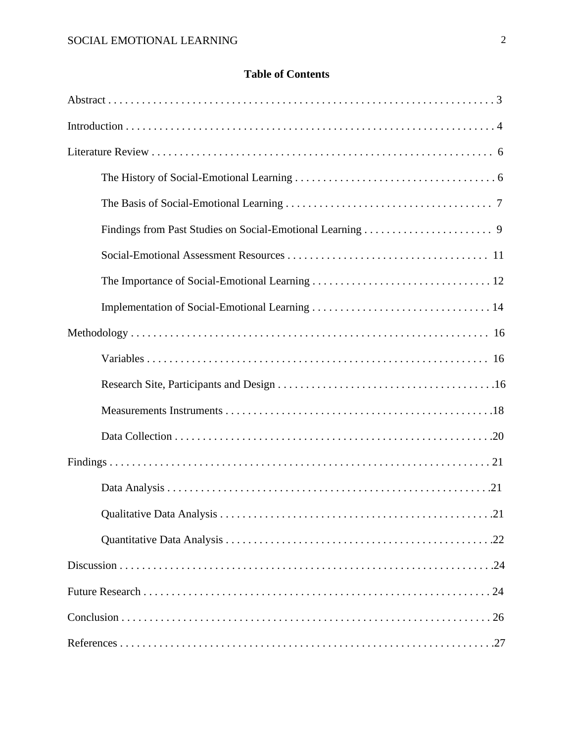## **Table of Contents**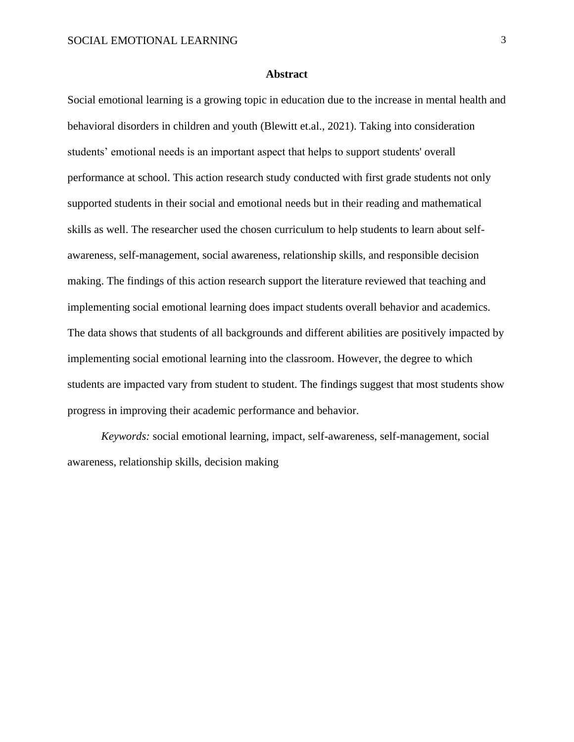#### **Abstract**

Social emotional learning is a growing topic in education due to the increase in mental health and behavioral disorders in children and youth (Blewitt et.al., 2021). Taking into consideration students' emotional needs is an important aspect that helps to support students' overall performance at school. This action research study conducted with first grade students not only supported students in their social and emotional needs but in their reading and mathematical skills as well. The researcher used the chosen curriculum to help students to learn about selfawareness, self-management, social awareness, relationship skills, and responsible decision making. The findings of this action research support the literature reviewed that teaching and implementing social emotional learning does impact students overall behavior and academics. The data shows that students of all backgrounds and different abilities are positively impacted by implementing social emotional learning into the classroom. However, the degree to which students are impacted vary from student to student. The findings suggest that most students show progress in improving their academic performance and behavior.

*Keywords:* social emotional learning, impact, self-awareness, self-management, social awareness, relationship skills, decision making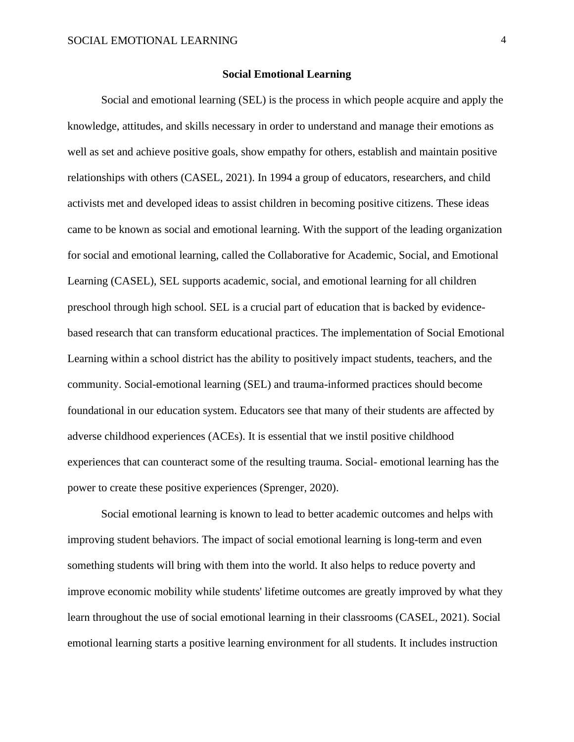#### **Social Emotional Learning**

Social and emotional learning (SEL) is the process in which people acquire and apply the knowledge, attitudes, and skills necessary in order to understand and manage their emotions as well as set and achieve positive goals, show empathy for others, establish and maintain positive relationships with others (CASEL, 2021). In 1994 a group of educators, researchers, and child activists met and developed ideas to assist children in becoming positive citizens. These ideas came to be known as social and emotional learning. With the support of the leading organization for social and emotional learning, called the Collaborative for Academic, Social, and Emotional Learning (CASEL), SEL supports academic, social, and emotional learning for all children preschool through high school. SEL is a crucial part of education that is backed by evidencebased research that can transform educational practices. The implementation of Social Emotional Learning within a school district has the ability to positively impact students, teachers, and the community. Social-emotional learning (SEL) and trauma-informed practices should become foundational in our education system. Educators see that many of their students are affected by adverse childhood experiences (ACEs). It is essential that we instil positive childhood experiences that can counteract some of the resulting trauma. Social- emotional learning has the power to create these positive experiences (Sprenger, 2020).

Social emotional learning is known to lead to better academic outcomes and helps with improving student behaviors. The impact of social emotional learning is long-term and even something students will bring with them into the world. It also helps to reduce poverty and improve economic mobility while students' lifetime outcomes are greatly improved by what they learn throughout the use of social emotional learning in their classrooms (CASEL, 2021). Social emotional learning starts a positive learning environment for all students. It includes instruction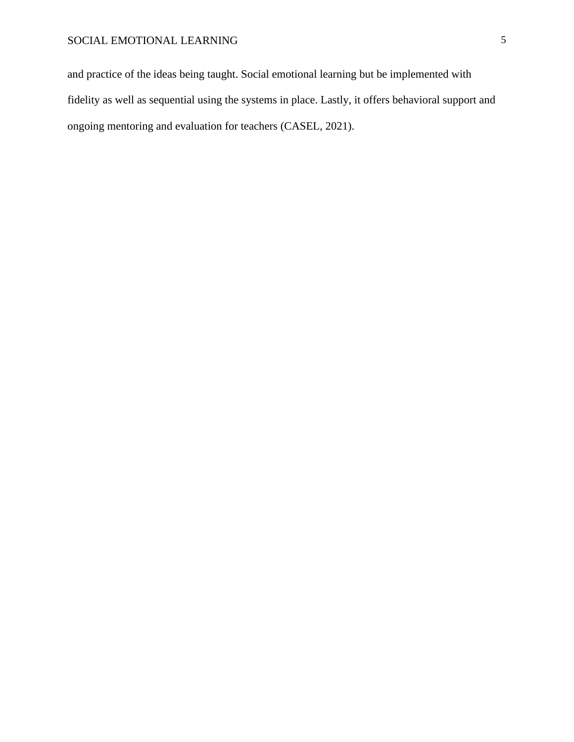and practice of the ideas being taught. Social emotional learning but be implemented with fidelity as well as sequential using the systems in place. Lastly, it offers behavioral support and ongoing mentoring and evaluation for teachers (CASEL, 2021).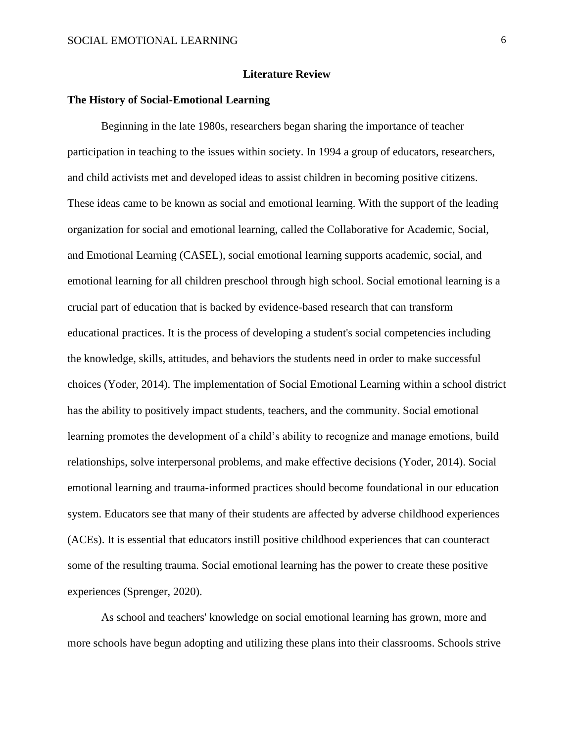#### **Literature Review**

#### **The History of Social-Emotional Learning**

Beginning in the late 1980s, researchers began sharing the importance of teacher participation in teaching to the issues within society. In 1994 a group of educators, researchers, and child activists met and developed ideas to assist children in becoming positive citizens. These ideas came to be known as social and emotional learning. With the support of the leading organization for social and emotional learning, called the Collaborative for Academic, Social, and Emotional Learning (CASEL), social emotional learning supports academic, social, and emotional learning for all children preschool through high school. Social emotional learning is a crucial part of education that is backed by evidence-based research that can transform educational practices. It is the process of developing a student's social competencies including the knowledge, skills, attitudes, and behaviors the students need in order to make successful choices (Yoder, 2014). The implementation of Social Emotional Learning within a school district has the ability to positively impact students, teachers, and the community. Social emotional learning promotes the development of a child's ability to recognize and manage emotions, build relationships, solve interpersonal problems, and make effective decisions (Yoder, 2014). Social emotional learning and trauma-informed practices should become foundational in our education system. Educators see that many of their students are affected by adverse childhood experiences (ACEs). It is essential that educators instill positive childhood experiences that can counteract some of the resulting trauma. Social emotional learning has the power to create these positive experiences (Sprenger, 2020).

As school and teachers' knowledge on social emotional learning has grown, more and more schools have begun adopting and utilizing these plans into their classrooms. Schools strive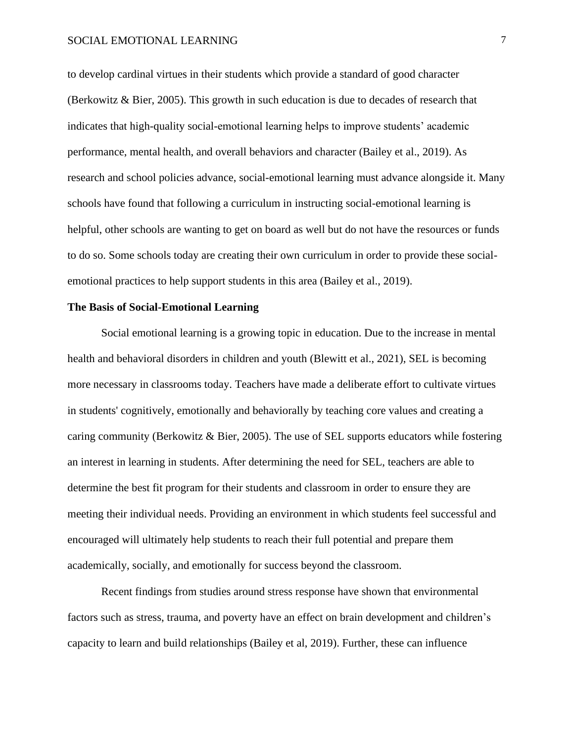#### SOCIAL EMOTIONAL LEARNING  $\overline{7}$

to develop cardinal virtues in their students which provide a standard of good character (Berkowitz & Bier, 2005). This growth in such education is due to decades of research that indicates that high-quality social-emotional learning helps to improve students' academic performance, mental health, and overall behaviors and character (Bailey et al., 2019). As research and school policies advance, social-emotional learning must advance alongside it. Many schools have found that following a curriculum in instructing social-emotional learning is helpful, other schools are wanting to get on board as well but do not have the resources or funds to do so. Some schools today are creating their own curriculum in order to provide these socialemotional practices to help support students in this area (Bailey et al., 2019).

#### **The Basis of Social-Emotional Learning**

Social emotional learning is a growing topic in education. Due to the increase in mental health and behavioral disorders in children and youth (Blewitt et al., 2021), SEL is becoming more necessary in classrooms today. Teachers have made a deliberate effort to cultivate virtues in students' cognitively, emotionally and behaviorally by teaching core values and creating a caring community (Berkowitz & Bier, 2005). The use of SEL supports educators while fostering an interest in learning in students. After determining the need for SEL, teachers are able to determine the best fit program for their students and classroom in order to ensure they are meeting their individual needs. Providing an environment in which students feel successful and encouraged will ultimately help students to reach their full potential and prepare them academically, socially, and emotionally for success beyond the classroom.

Recent findings from studies around stress response have shown that environmental factors such as stress, trauma, and poverty have an effect on brain development and children's capacity to learn and build relationships (Bailey et al, 2019). Further, these can influence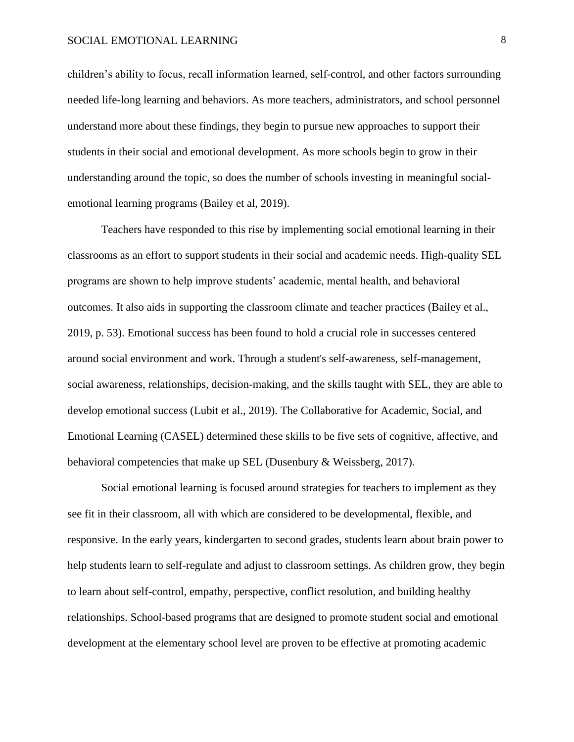children's ability to focus, recall information learned, self-control, and other factors surrounding needed life-long learning and behaviors. As more teachers, administrators, and school personnel understand more about these findings, they begin to pursue new approaches to support their students in their social and emotional development. As more schools begin to grow in their understanding around the topic, so does the number of schools investing in meaningful socialemotional learning programs (Bailey et al, 2019).

Teachers have responded to this rise by implementing social emotional learning in their classrooms as an effort to support students in their social and academic needs. High-quality SEL programs are shown to help improve students' academic, mental health, and behavioral outcomes. It also aids in supporting the classroom climate and teacher practices (Bailey et al., 2019, p. 53). Emotional success has been found to hold a crucial role in successes centered around social environment and work. Through a student's self-awareness, self-management, social awareness, relationships, decision-making, and the skills taught with SEL, they are able to develop emotional success (Lubit et al., 2019). The Collaborative for Academic, Social, and Emotional Learning (CASEL) determined these skills to be five sets of cognitive, affective, and behavioral competencies that make up SEL (Dusenbury & Weissberg, 2017).

Social emotional learning is focused around strategies for teachers to implement as they see fit in their classroom, all with which are considered to be developmental, flexible, and responsive. In the early years, kindergarten to second grades, students learn about brain power to help students learn to self-regulate and adjust to classroom settings. As children grow, they begin to learn about self-control, empathy, perspective, conflict resolution, and building healthy relationships. School-based programs that are designed to promote student social and emotional development at the elementary school level are proven to be effective at promoting academic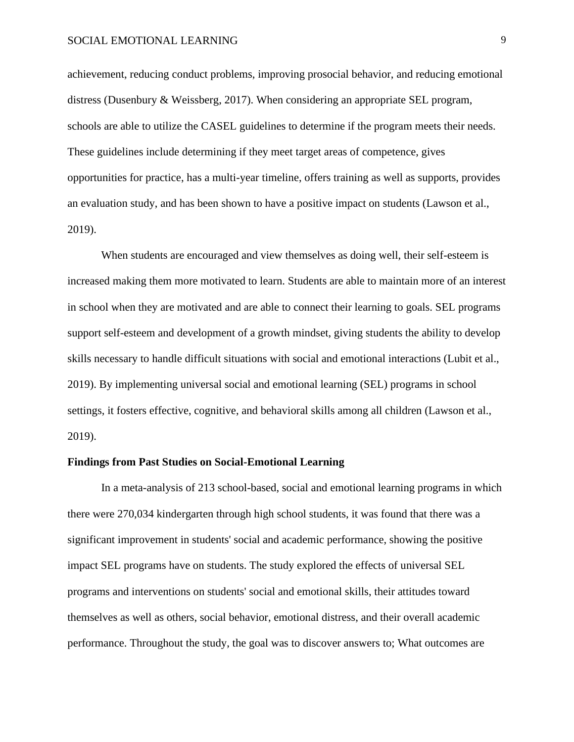achievement, reducing conduct problems, improving prosocial behavior, and reducing emotional distress (Dusenbury & Weissberg, 2017). When considering an appropriate SEL program, schools are able to utilize the CASEL guidelines to determine if the program meets their needs. These guidelines include determining if they meet target areas of competence, gives opportunities for practice, has a multi-year timeline, offers training as well as supports, provides an evaluation study, and has been shown to have a positive impact on students (Lawson et al., 2019).

When students are encouraged and view themselves as doing well, their self-esteem is increased making them more motivated to learn. Students are able to maintain more of an interest in school when they are motivated and are able to connect their learning to goals. SEL programs support self-esteem and development of a growth mindset, giving students the ability to develop skills necessary to handle difficult situations with social and emotional interactions (Lubit et al., 2019). By implementing universal social and emotional learning (SEL) programs in school settings, it fosters effective, cognitive, and behavioral skills among all children (Lawson et al., 2019).

#### **Findings from Past Studies on Social-Emotional Learning**

In a meta-analysis of 213 school-based, social and emotional learning programs in which there were 270,034 kindergarten through high school students, it was found that there was a significant improvement in students' social and academic performance, showing the positive impact SEL programs have on students. The study explored the effects of universal SEL programs and interventions on students' social and emotional skills, their attitudes toward themselves as well as others, social behavior, emotional distress, and their overall academic performance. Throughout the study, the goal was to discover answers to; What outcomes are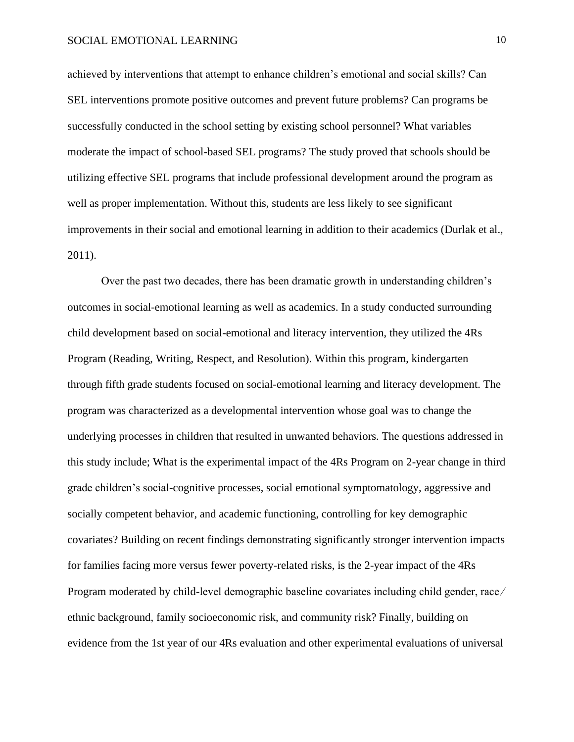achieved by interventions that attempt to enhance children's emotional and social skills? Can SEL interventions promote positive outcomes and prevent future problems? Can programs be successfully conducted in the school setting by existing school personnel? What variables moderate the impact of school-based SEL programs? The study proved that schools should be utilizing effective SEL programs that include professional development around the program as well as proper implementation. Without this, students are less likely to see significant improvements in their social and emotional learning in addition to their academics (Durlak et al., 2011).

Over the past two decades, there has been dramatic growth in understanding children's outcomes in social-emotional learning as well as academics. In a study conducted surrounding child development based on social-emotional and literacy intervention, they utilized the 4Rs Program (Reading, Writing, Respect, and Resolution). Within this program, kindergarten through fifth grade students focused on social-emotional learning and literacy development. The program was characterized as a developmental intervention whose goal was to change the underlying processes in children that resulted in unwanted behaviors. The questions addressed in this study include; What is the experimental impact of the 4Rs Program on 2-year change in third grade children's social-cognitive processes, social emotional symptomatology, aggressive and socially competent behavior, and academic functioning, controlling for key demographic covariates? Building on recent findings demonstrating significantly stronger intervention impacts for families facing more versus fewer poverty-related risks, is the 2-year impact of the 4Rs Program moderated by child-level demographic baseline covariates including child gender, race ⁄ ethnic background, family socioeconomic risk, and community risk? Finally, building on evidence from the 1st year of our 4Rs evaluation and other experimental evaluations of universal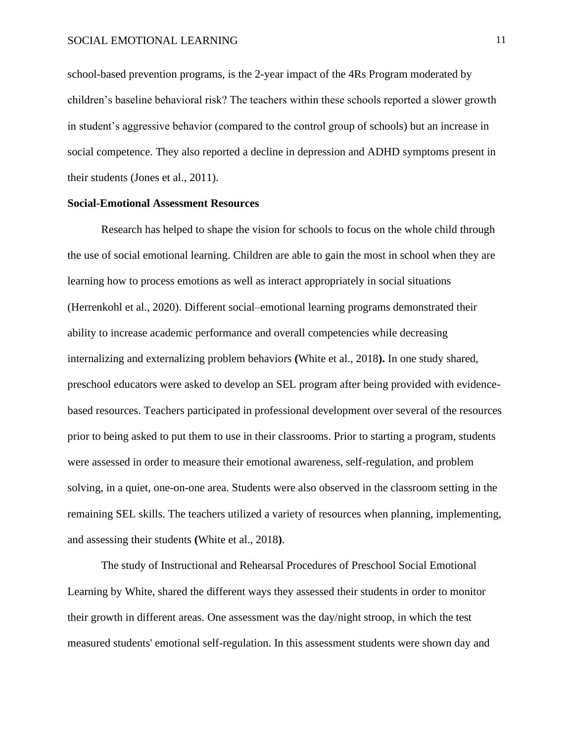school-based prevention programs, is the 2-year impact of the 4Rs Program moderated by children's baseline behavioral risk? The teachers within these schools reported a slower growth in student's aggressive behavior (compared to the control group of schools) but an increase in social competence. They also reported a decline in depression and ADHD symptoms present in their students (Jones et al., 2011).

#### **Social-Emotional Assessment Resources**

Research has helped to shape the vision for schools to focus on the whole child through the use of social emotional learning. Children are able to gain the most in school when they are learning how to process emotions as well as interact appropriately in social situations (Herrenkohl et al., 2020). Different social–emotional learning programs demonstrated their ability to increase academic performance and overall competencies while decreasing internalizing and externalizing problem behaviors **(**White et al., 2018**).** In one study shared, preschool educators were asked to develop an SEL program after being provided with evidencebased resources. Teachers participated in professional development over several of the resources prior to being asked to put them to use in their classrooms. Prior to starting a program, students were assessed in order to measure their emotional awareness, self-regulation, and problem solving, in a quiet, one-on-one area. Students were also observed in the classroom setting in the remaining SEL skills. The teachers utilized a variety of resources when planning, implementing, and assessing their students **(**White et al., 2018**)**.

The study of Instructional and Rehearsal Procedures of Preschool Social Emotional Learning by White, shared the different ways they assessed their students in order to monitor their growth in different areas. One assessment was the day/night stroop, in which the test measured students' emotional self-regulation. In this assessment students were shown day and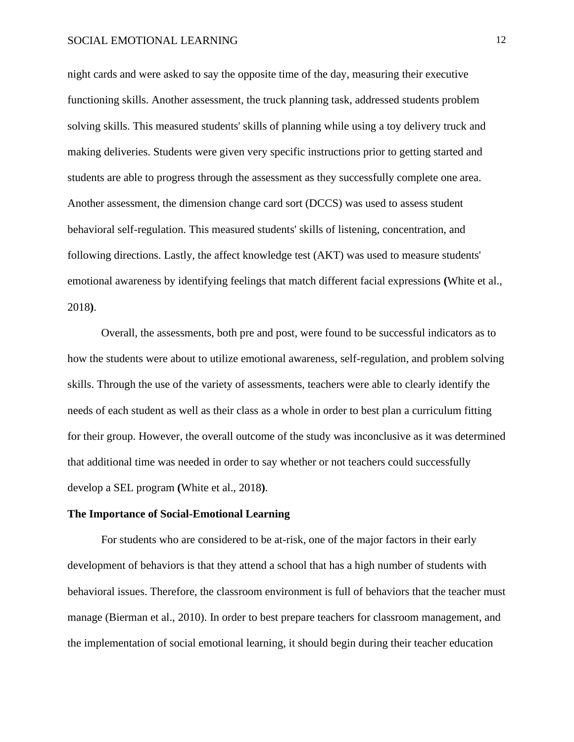night cards and were asked to say the opposite time of the day, measuring their executive functioning skills. Another assessment, the truck planning task, addressed students problem solving skills. This measured students' skills of planning while using a toy delivery truck and making deliveries. Students were given very specific instructions prior to getting started and students are able to progress through the assessment as they successfully complete one area. Another assessment, the dimension change card sort (DCCS) was used to assess student behavioral self-regulation. This measured students' skills of listening, concentration, and following directions. Lastly, the affect knowledge test (AKT) was used to measure students' emotional awareness by identifying feelings that match different facial expressions **(**White et al., 2018**)**.

Overall, the assessments, both pre and post, were found to be successful indicators as to how the students were about to utilize emotional awareness, self-regulation, and problem solving skills. Through the use of the variety of assessments, teachers were able to clearly identify the needs of each student as well as their class as a whole in order to best plan a curriculum fitting for their group. However, the overall outcome of the study was inconclusive as it was determined that additional time was needed in order to say whether or not teachers could successfully develop a SEL program **(**White et al., 2018**)**.

#### **The Importance of Social-Emotional Learning**

For students who are considered to be at-risk, one of the major factors in their early development of behaviors is that they attend a school that has a high number of students with behavioral issues. Therefore, the classroom environment is full of behaviors that the teacher must manage (Bierman et al., 2010). In order to best prepare teachers for classroom management, and the implementation of social emotional learning, it should begin during their teacher education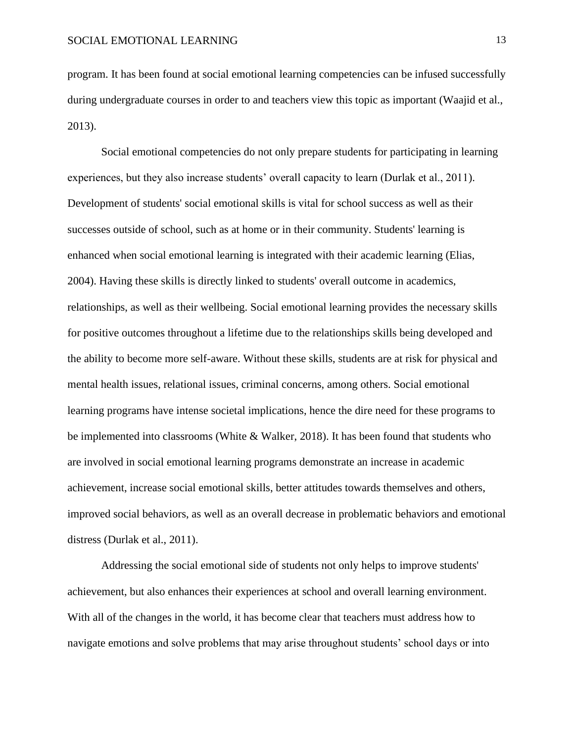program. It has been found at social emotional learning competencies can be infused successfully during undergraduate courses in order to and teachers view this topic as important (Waajid et al., 2013).

Social emotional competencies do not only prepare students for participating in learning experiences, but they also increase students' overall capacity to learn (Durlak et al., 2011). Development of students' social emotional skills is vital for school success as well as their successes outside of school, such as at home or in their community. Students' learning is enhanced when social emotional learning is integrated with their academic learning (Elias, 2004). Having these skills is directly linked to students' overall outcome in academics, relationships, as well as their wellbeing. Social emotional learning provides the necessary skills for positive outcomes throughout a lifetime due to the relationships skills being developed and the ability to become more self-aware. Without these skills, students are at risk for physical and mental health issues, relational issues, criminal concerns, among others. Social emotional learning programs have intense societal implications, hence the dire need for these programs to be implemented into classrooms (White & Walker, 2018). It has been found that students who are involved in social emotional learning programs demonstrate an increase in academic achievement, increase social emotional skills, better attitudes towards themselves and others, improved social behaviors, as well as an overall decrease in problematic behaviors and emotional distress (Durlak et al., 2011).

Addressing the social emotional side of students not only helps to improve students' achievement, but also enhances their experiences at school and overall learning environment. With all of the changes in the world, it has become clear that teachers must address how to navigate emotions and solve problems that may arise throughout students' school days or into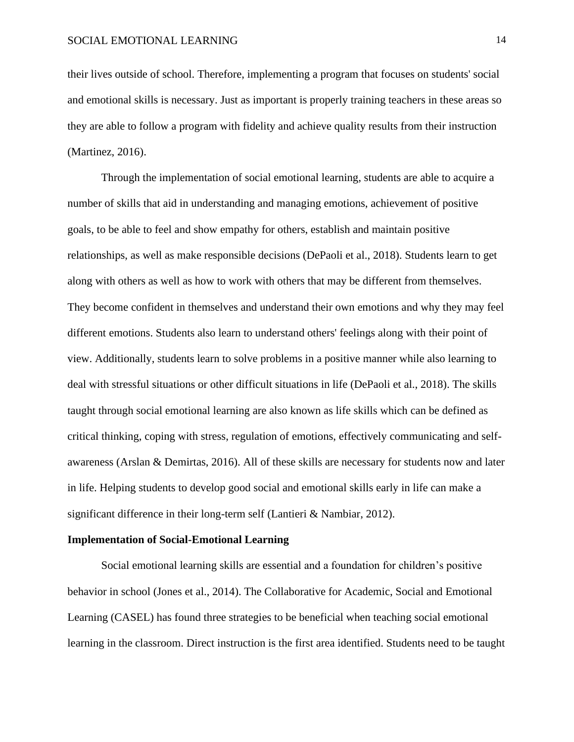their lives outside of school. Therefore, implementing a program that focuses on students' social and emotional skills is necessary. Just as important is properly training teachers in these areas so they are able to follow a program with fidelity and achieve quality results from their instruction (Martinez, 2016).

Through the implementation of social emotional learning, students are able to acquire a number of skills that aid in understanding and managing emotions, achievement of positive goals, to be able to feel and show empathy for others, establish and maintain positive relationships, as well as make responsible decisions (DePaoli et al., 2018). Students learn to get along with others as well as how to work with others that may be different from themselves. They become confident in themselves and understand their own emotions and why they may feel different emotions. Students also learn to understand others' feelings along with their point of view. Additionally, students learn to solve problems in a positive manner while also learning to deal with stressful situations or other difficult situations in life (DePaoli et al., 2018). The skills taught through social emotional learning are also known as life skills which can be defined as critical thinking, coping with stress, regulation of emotions, effectively communicating and selfawareness (Arslan & Demirtas, 2016). All of these skills are necessary for students now and later in life. Helping students to develop good social and emotional skills early in life can make a significant difference in their long-term self (Lantieri & Nambiar, 2012).

#### **Implementation of Social-Emotional Learning**

Social emotional learning skills are essential and a foundation for children's positive behavior in school (Jones et al., 2014). The Collaborative for Academic, Social and Emotional Learning (CASEL) has found three strategies to be beneficial when teaching social emotional learning in the classroom. Direct instruction is the first area identified. Students need to be taught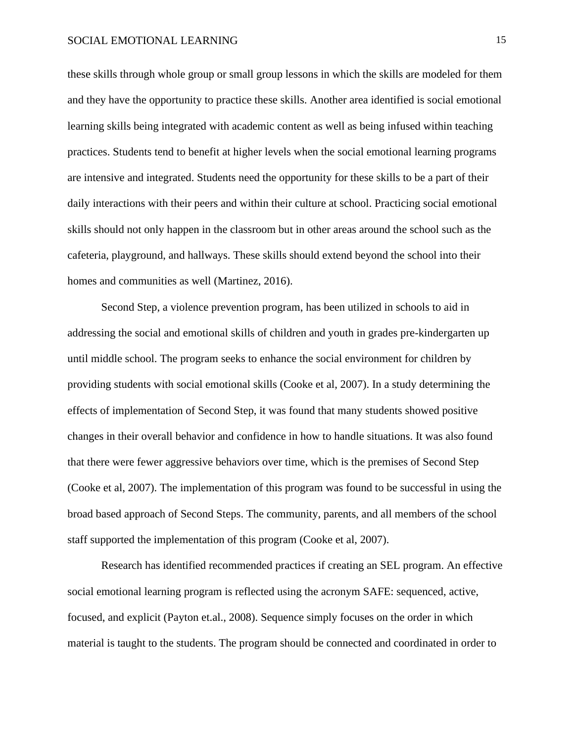these skills through whole group or small group lessons in which the skills are modeled for them and they have the opportunity to practice these skills. Another area identified is social emotional learning skills being integrated with academic content as well as being infused within teaching practices. Students tend to benefit at higher levels when the social emotional learning programs are intensive and integrated. Students need the opportunity for these skills to be a part of their daily interactions with their peers and within their culture at school. Practicing social emotional skills should not only happen in the classroom but in other areas around the school such as the cafeteria, playground, and hallways. These skills should extend beyond the school into their homes and communities as well (Martinez, 2016).

Second Step, a violence prevention program, has been utilized in schools to aid in addressing the social and emotional skills of children and youth in grades pre-kindergarten up until middle school. The program seeks to enhance the social environment for children by providing students with social emotional skills (Cooke et al, 2007). In a study determining the effects of implementation of Second Step, it was found that many students showed positive changes in their overall behavior and confidence in how to handle situations. It was also found that there were fewer aggressive behaviors over time, which is the premises of Second Step (Cooke et al, 2007). The implementation of this program was found to be successful in using the broad based approach of Second Steps. The community, parents, and all members of the school staff supported the implementation of this program (Cooke et al, 2007).

Research has identified recommended practices if creating an SEL program. An effective social emotional learning program is reflected using the acronym SAFE: sequenced, active, focused, and explicit (Payton et.al., 2008). Sequence simply focuses on the order in which material is taught to the students. The program should be connected and coordinated in order to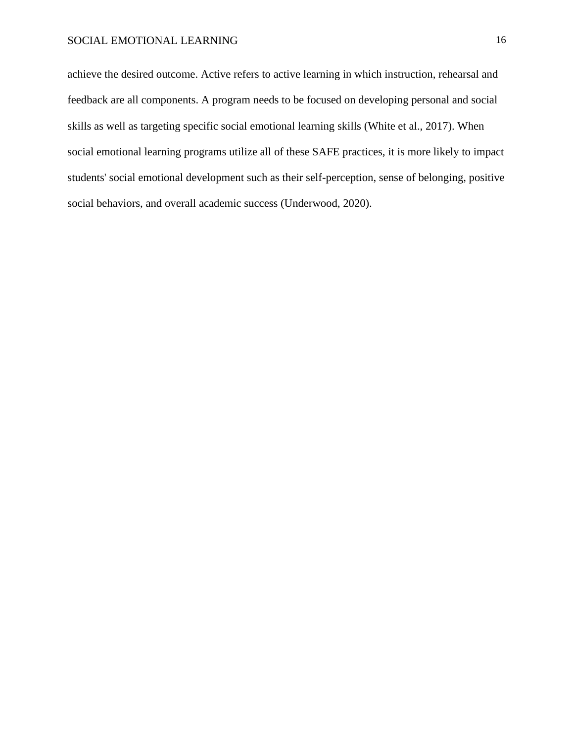achieve the desired outcome. Active refers to active learning in which instruction, rehearsal and feedback are all components. A program needs to be focused on developing personal and social skills as well as targeting specific social emotional learning skills (White et al., 2017). When social emotional learning programs utilize all of these SAFE practices, it is more likely to impact students' social emotional development such as their self-perception, sense of belonging, positive social behaviors, and overall academic success (Underwood, 2020).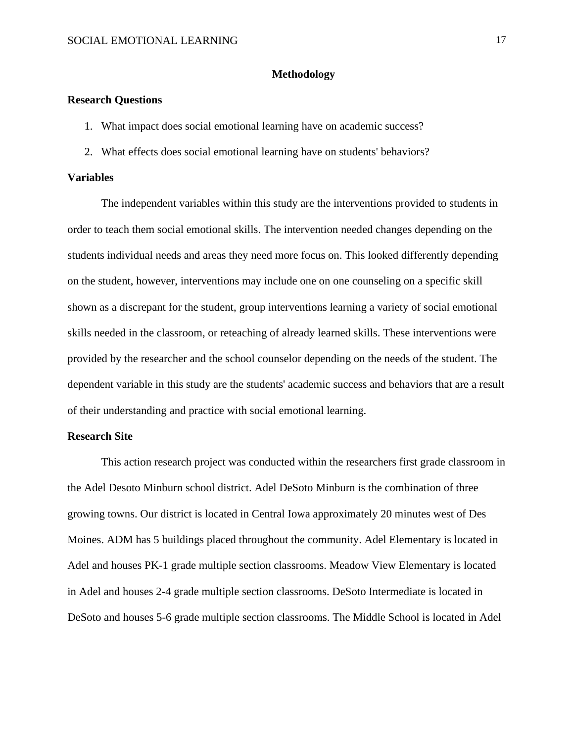#### **Methodology**

#### **Research Questions**

- 1. What impact does social emotional learning have on academic success?
- 2. What effects does social emotional learning have on students' behaviors?

#### **Variables**

The independent variables within this study are the interventions provided to students in order to teach them social emotional skills. The intervention needed changes depending on the students individual needs and areas they need more focus on. This looked differently depending on the student, however, interventions may include one on one counseling on a specific skill shown as a discrepant for the student, group interventions learning a variety of social emotional skills needed in the classroom, or reteaching of already learned skills. These interventions were provided by the researcher and the school counselor depending on the needs of the student. The dependent variable in this study are the students' academic success and behaviors that are a result of their understanding and practice with social emotional learning.

#### **Research Site**

This action research project was conducted within the researchers first grade classroom in the Adel Desoto Minburn school district. Adel DeSoto Minburn is the combination of three growing towns. Our district is located in Central Iowa approximately 20 minutes west of Des Moines. ADM has 5 buildings placed throughout the community. Adel Elementary is located in Adel and houses PK-1 grade multiple section classrooms. Meadow View Elementary is located in Adel and houses 2-4 grade multiple section classrooms. DeSoto Intermediate is located in DeSoto and houses 5-6 grade multiple section classrooms. The Middle School is located in Adel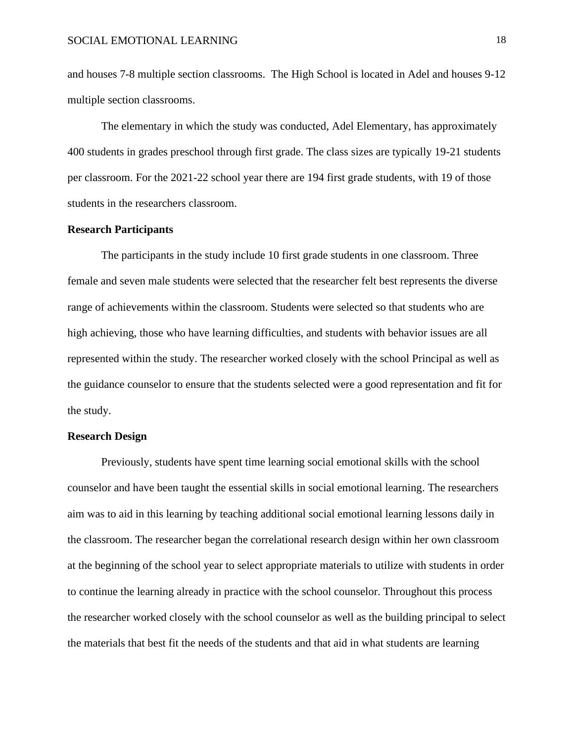and houses 7-8 multiple section classrooms. The High School is located in Adel and houses 9-12 multiple section classrooms.

The elementary in which the study was conducted, Adel Elementary, has approximately 400 students in grades preschool through first grade. The class sizes are typically 19-21 students per classroom. For the 2021-22 school year there are 194 first grade students, with 19 of those students in the researchers classroom.

#### **Research Participants**

The participants in the study include 10 first grade students in one classroom. Three female and seven male students were selected that the researcher felt best represents the diverse range of achievements within the classroom. Students were selected so that students who are high achieving, those who have learning difficulties, and students with behavior issues are all represented within the study. The researcher worked closely with the school Principal as well as the guidance counselor to ensure that the students selected were a good representation and fit for the study.

#### **Research Design**

Previously, students have spent time learning social emotional skills with the school counselor and have been taught the essential skills in social emotional learning. The researchers aim was to aid in this learning by teaching additional social emotional learning lessons daily in the classroom. The researcher began the correlational research design within her own classroom at the beginning of the school year to select appropriate materials to utilize with students in order to continue the learning already in practice with the school counselor. Throughout this process the researcher worked closely with the school counselor as well as the building principal to select the materials that best fit the needs of the students and that aid in what students are learning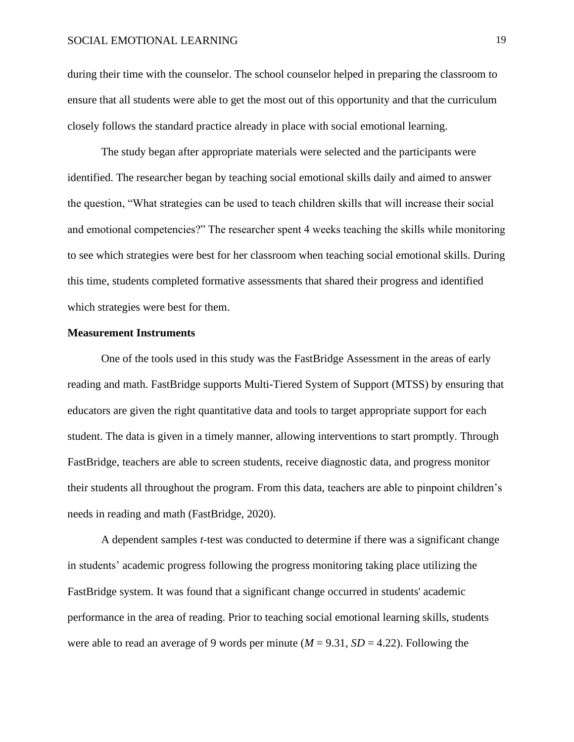during their time with the counselor. The school counselor helped in preparing the classroom to ensure that all students were able to get the most out of this opportunity and that the curriculum closely follows the standard practice already in place with social emotional learning.

The study began after appropriate materials were selected and the participants were identified. The researcher began by teaching social emotional skills daily and aimed to answer the question, "What strategies can be used to teach children skills that will increase their social and emotional competencies?" The researcher spent 4 weeks teaching the skills while monitoring to see which strategies were best for her classroom when teaching social emotional skills. During this time, students completed formative assessments that shared their progress and identified which strategies were best for them.

#### **Measurement Instruments**

One of the tools used in this study was the FastBridge Assessment in the areas of early reading and math. FastBridge supports Multi-Tiered System of Support (MTSS) by ensuring that educators are given the right quantitative data and tools to target appropriate support for each student. The data is given in a timely manner, allowing interventions to start promptly. Through FastBridge, teachers are able to screen students, receive diagnostic data, and progress monitor their students all throughout the program. From this data, teachers are able to pinpoint children's needs in reading and math (FastBridge, 2020).

A dependent samples *t*-test was conducted to determine if there was a significant change in students' academic progress following the progress monitoring taking place utilizing the FastBridge system. It was found that a significant change occurred in students' academic performance in the area of reading. Prior to teaching social emotional learning skills, students were able to read an average of 9 words per minute ( $M = 9.31$ ,  $SD = 4.22$ ). Following the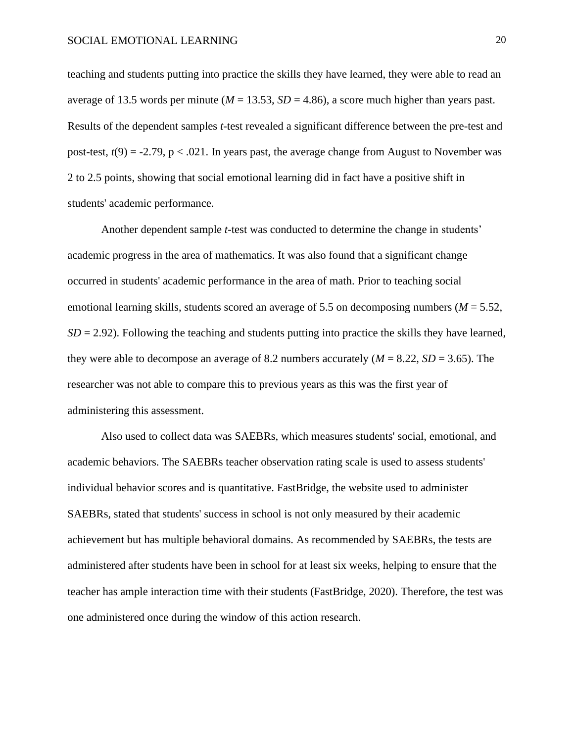teaching and students putting into practice the skills they have learned, they were able to read an average of 13.5 words per minute ( $M = 13.53$ ,  $SD = 4.86$ ), a score much higher than years past. Results of the dependent samples *t*-test revealed a significant difference between the pre-test and post-test,  $t(9) = -2.79$ ,  $p < .021$ . In years past, the average change from August to November was 2 to 2.5 points, showing that social emotional learning did in fact have a positive shift in students' academic performance.

Another dependent sample *t*-test was conducted to determine the change in students' academic progress in the area of mathematics. It was also found that a significant change occurred in students' academic performance in the area of math. Prior to teaching social emotional learning skills, students scored an average of 5.5 on decomposing numbers (*M* = 5.52,  $SD = 2.92$ ). Following the teaching and students putting into practice the skills they have learned, they were able to decompose an average of 8.2 numbers accurately (*M* = 8.22, *SD* = 3.65). The researcher was not able to compare this to previous years as this was the first year of administering this assessment.

Also used to collect data was SAEBRs, which measures students' social, emotional, and academic behaviors. The SAEBRs teacher observation rating scale is used to assess students' individual behavior scores and is quantitative. FastBridge, the website used to administer SAEBRs, stated that students' success in school is not only measured by their academic achievement but has multiple behavioral domains. As recommended by SAEBRs, the tests are administered after students have been in school for at least six weeks, helping to ensure that the teacher has ample interaction time with their students (FastBridge, 2020). Therefore, the test was one administered once during the window of this action research.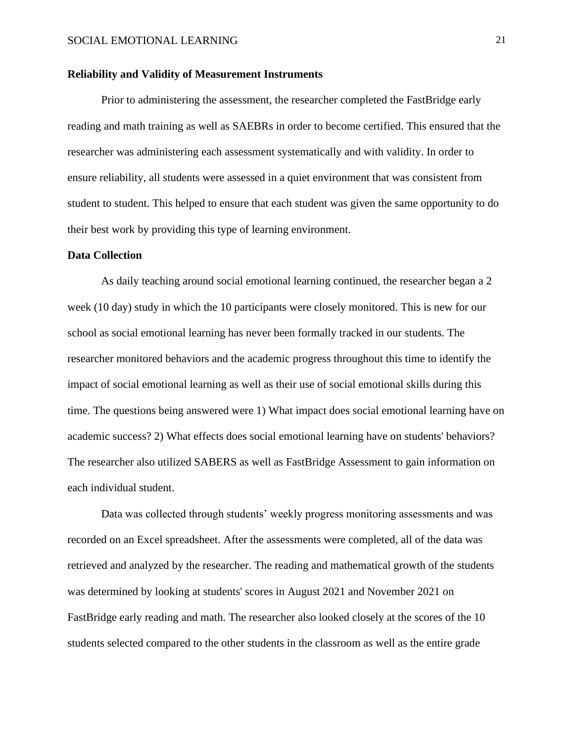#### **Reliability and Validity of Measurement Instruments**

Prior to administering the assessment, the researcher completed the FastBridge early reading and math training as well as SAEBRs in order to become certified. This ensured that the researcher was administering each assessment systematically and with validity. In order to ensure reliability, all students were assessed in a quiet environment that was consistent from student to student. This helped to ensure that each student was given the same opportunity to do their best work by providing this type of learning environment.

#### **Data Collection**

As daily teaching around social emotional learning continued, the researcher began a 2 week (10 day) study in which the 10 participants were closely monitored. This is new for our school as social emotional learning has never been formally tracked in our students. The researcher monitored behaviors and the academic progress throughout this time to identify the impact of social emotional learning as well as their use of social emotional skills during this time. The questions being answered were 1) What impact does social emotional learning have on academic success? 2) What effects does social emotional learning have on students' behaviors? The researcher also utilized SABERS as well as FastBridge Assessment to gain information on each individual student.

Data was collected through students' weekly progress monitoring assessments and was recorded on an Excel spreadsheet. After the assessments were completed, all of the data was retrieved and analyzed by the researcher. The reading and mathematical growth of the students was determined by looking at students' scores in August 2021 and November 2021 on FastBridge early reading and math. The researcher also looked closely at the scores of the 10 students selected compared to the other students in the classroom as well as the entire grade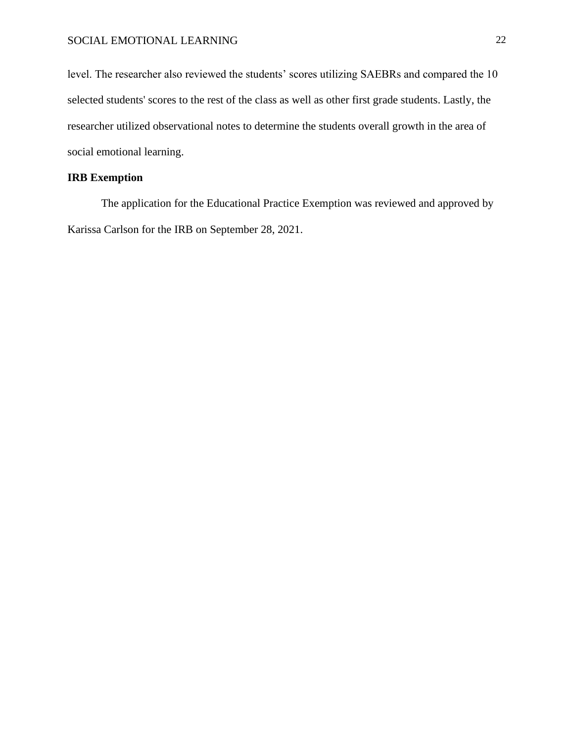level. The researcher also reviewed the students' scores utilizing SAEBRs and compared the 10 selected students' scores to the rest of the class as well as other first grade students. Lastly, the researcher utilized observational notes to determine the students overall growth in the area of social emotional learning.

### **IRB Exemption**

The application for the Educational Practice Exemption was reviewed and approved by Karissa Carlson for the IRB on September 28, 2021.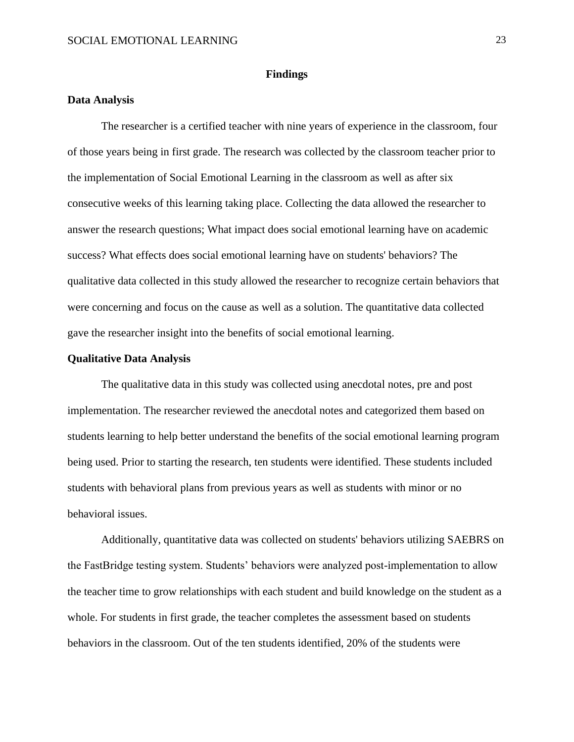#### **Findings**

#### **Data Analysis**

The researcher is a certified teacher with nine years of experience in the classroom, four of those years being in first grade. The research was collected by the classroom teacher prior to the implementation of Social Emotional Learning in the classroom as well as after six consecutive weeks of this learning taking place. Collecting the data allowed the researcher to answer the research questions; What impact does social emotional learning have on academic success? What effects does social emotional learning have on students' behaviors? The qualitative data collected in this study allowed the researcher to recognize certain behaviors that were concerning and focus on the cause as well as a solution. The quantitative data collected gave the researcher insight into the benefits of social emotional learning.

#### **Qualitative Data Analysis**

The qualitative data in this study was collected using anecdotal notes, pre and post implementation. The researcher reviewed the anecdotal notes and categorized them based on students learning to help better understand the benefits of the social emotional learning program being used. Prior to starting the research, ten students were identified. These students included students with behavioral plans from previous years as well as students with minor or no behavioral issues.

Additionally, quantitative data was collected on students' behaviors utilizing SAEBRS on the FastBridge testing system. Students' behaviors were analyzed post-implementation to allow the teacher time to grow relationships with each student and build knowledge on the student as a whole. For students in first grade, the teacher completes the assessment based on students behaviors in the classroom. Out of the ten students identified, 20% of the students were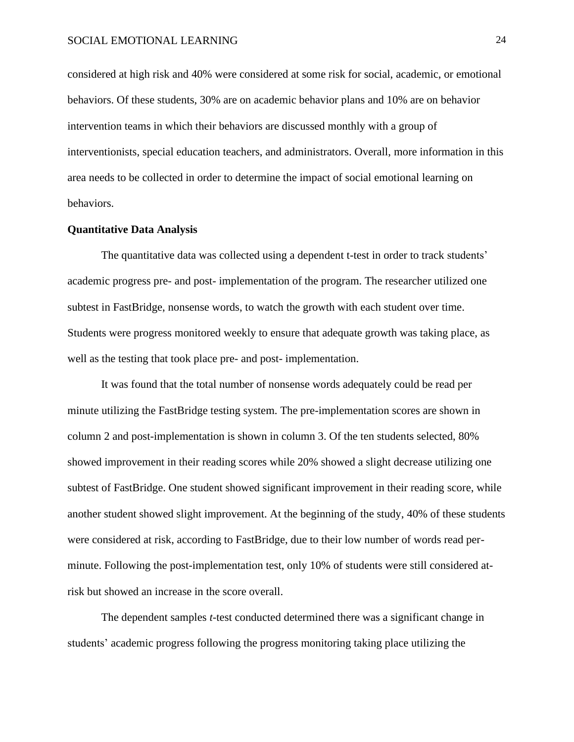considered at high risk and 40% were considered at some risk for social, academic, or emotional behaviors. Of these students, 30% are on academic behavior plans and 10% are on behavior intervention teams in which their behaviors are discussed monthly with a group of interventionists, special education teachers, and administrators. Overall, more information in this area needs to be collected in order to determine the impact of social emotional learning on behaviors.

#### **Quantitative Data Analysis**

The quantitative data was collected using a dependent t-test in order to track students' academic progress pre- and post- implementation of the program. The researcher utilized one subtest in FastBridge, nonsense words, to watch the growth with each student over time. Students were progress monitored weekly to ensure that adequate growth was taking place, as well as the testing that took place pre- and post- implementation.

It was found that the total number of nonsense words adequately could be read per minute utilizing the FastBridge testing system. The pre-implementation scores are shown in column 2 and post-implementation is shown in column 3. Of the ten students selected, 80% showed improvement in their reading scores while 20% showed a slight decrease utilizing one subtest of FastBridge. One student showed significant improvement in their reading score, while another student showed slight improvement. At the beginning of the study, 40% of these students were considered at risk, according to FastBridge, due to their low number of words read perminute. Following the post-implementation test, only 10% of students were still considered atrisk but showed an increase in the score overall.

The dependent samples *t*-test conducted determined there was a significant change in students' academic progress following the progress monitoring taking place utilizing the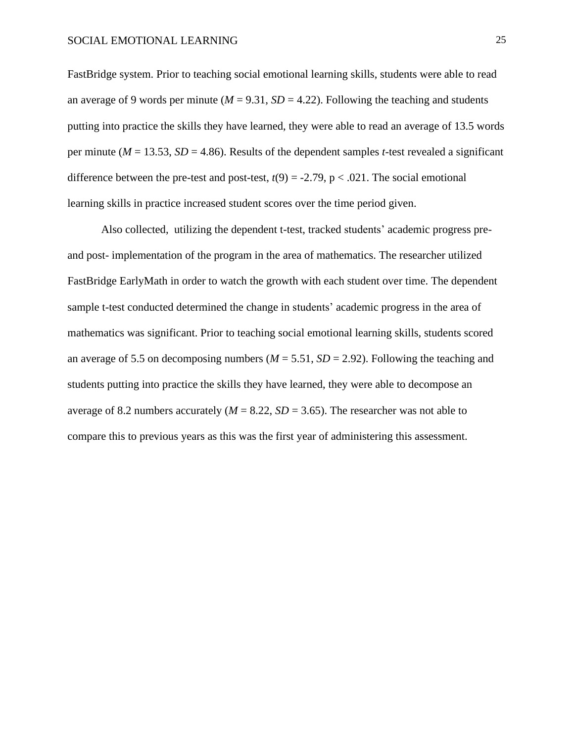FastBridge system. Prior to teaching social emotional learning skills, students were able to read an average of 9 words per minute ( $M = 9.31$ ,  $SD = 4.22$ ). Following the teaching and students putting into practice the skills they have learned, they were able to read an average of 13.5 words per minute ( $M = 13.53$ ,  $SD = 4.86$ ). Results of the dependent samples *t*-test revealed a significant difference between the pre-test and post-test,  $t(9) = -2.79$ ,  $p < .021$ . The social emotional learning skills in practice increased student scores over the time period given.

Also collected, utilizing the dependent t-test, tracked students' academic progress preand post- implementation of the program in the area of mathematics. The researcher utilized FastBridge EarlyMath in order to watch the growth with each student over time. The dependent sample t-test conducted determined the change in students' academic progress in the area of mathematics was significant. Prior to teaching social emotional learning skills, students scored an average of 5.5 on decomposing numbers ( $M = 5.51$ ,  $SD = 2.92$ ). Following the teaching and students putting into practice the skills they have learned, they were able to decompose an average of 8.2 numbers accurately  $(M = 8.22, SD = 3.65)$ . The researcher was not able to compare this to previous years as this was the first year of administering this assessment.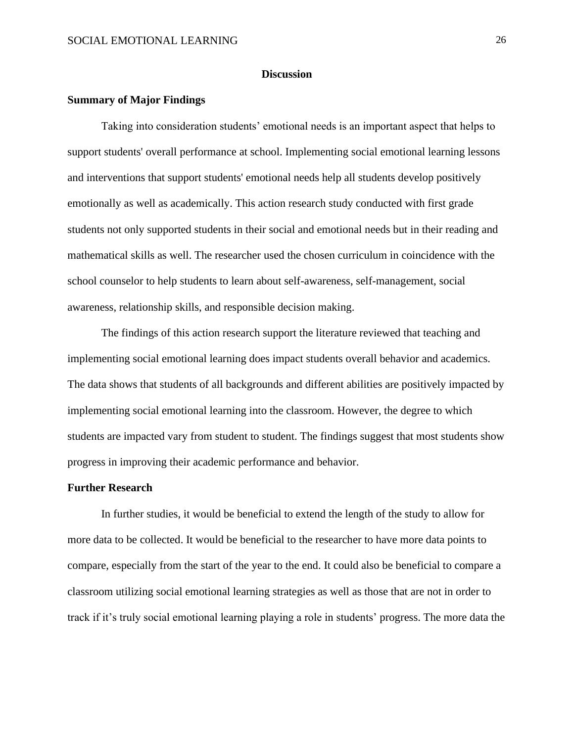#### **Discussion**

#### **Summary of Major Findings**

Taking into consideration students' emotional needs is an important aspect that helps to support students' overall performance at school. Implementing social emotional learning lessons and interventions that support students' emotional needs help all students develop positively emotionally as well as academically. This action research study conducted with first grade students not only supported students in their social and emotional needs but in their reading and mathematical skills as well. The researcher used the chosen curriculum in coincidence with the school counselor to help students to learn about self-awareness, self-management, social awareness, relationship skills, and responsible decision making.

The findings of this action research support the literature reviewed that teaching and implementing social emotional learning does impact students overall behavior and academics. The data shows that students of all backgrounds and different abilities are positively impacted by implementing social emotional learning into the classroom. However, the degree to which students are impacted vary from student to student. The findings suggest that most students show progress in improving their academic performance and behavior.

#### **Further Research**

In further studies, it would be beneficial to extend the length of the study to allow for more data to be collected. It would be beneficial to the researcher to have more data points to compare, especially from the start of the year to the end. It could also be beneficial to compare a classroom utilizing social emotional learning strategies as well as those that are not in order to track if it's truly social emotional learning playing a role in students' progress. The more data the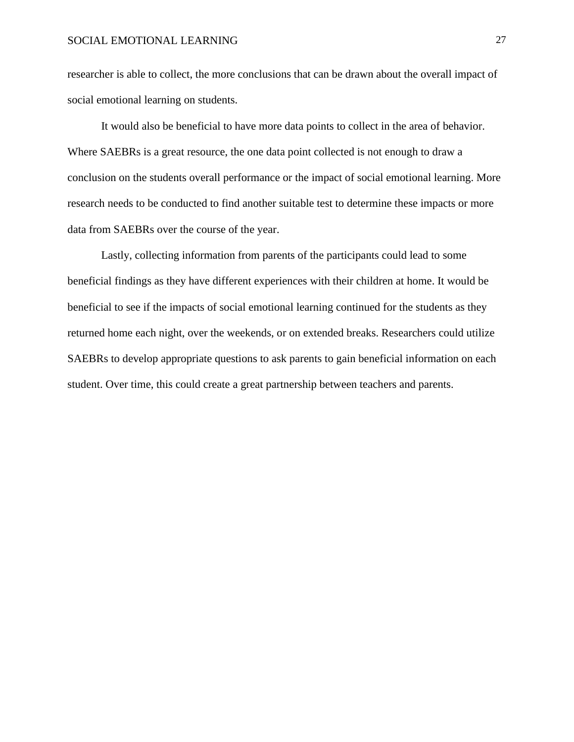researcher is able to collect, the more conclusions that can be drawn about the overall impact of social emotional learning on students.

It would also be beneficial to have more data points to collect in the area of behavior. Where SAEBRs is a great resource, the one data point collected is not enough to draw a conclusion on the students overall performance or the impact of social emotional learning. More research needs to be conducted to find another suitable test to determine these impacts or more data from SAEBRs over the course of the year.

Lastly, collecting information from parents of the participants could lead to some beneficial findings as they have different experiences with their children at home. It would be beneficial to see if the impacts of social emotional learning continued for the students as they returned home each night, over the weekends, or on extended breaks. Researchers could utilize SAEBRs to develop appropriate questions to ask parents to gain beneficial information on each student. Over time, this could create a great partnership between teachers and parents.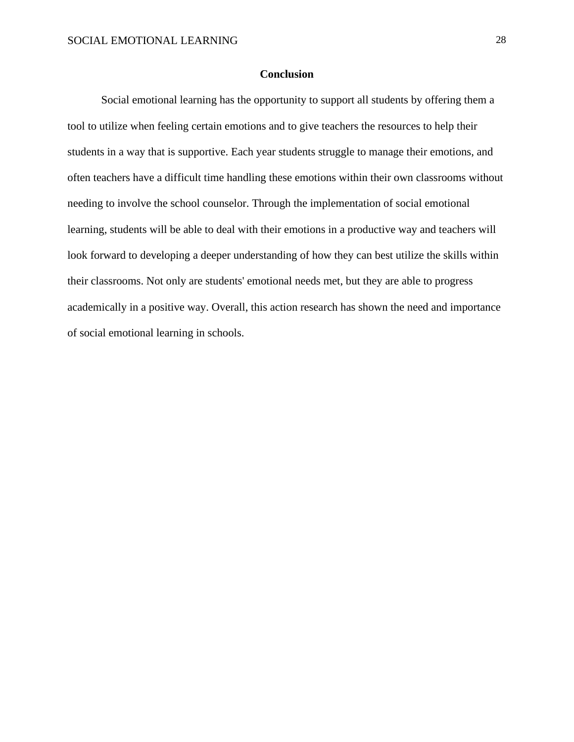#### **Conclusion**

Social emotional learning has the opportunity to support all students by offering them a tool to utilize when feeling certain emotions and to give teachers the resources to help their students in a way that is supportive. Each year students struggle to manage their emotions, and often teachers have a difficult time handling these emotions within their own classrooms without needing to involve the school counselor. Through the implementation of social emotional learning, students will be able to deal with their emotions in a productive way and teachers will look forward to developing a deeper understanding of how they can best utilize the skills within their classrooms. Not only are students' emotional needs met, but they are able to progress academically in a positive way. Overall, this action research has shown the need and importance of social emotional learning in schools.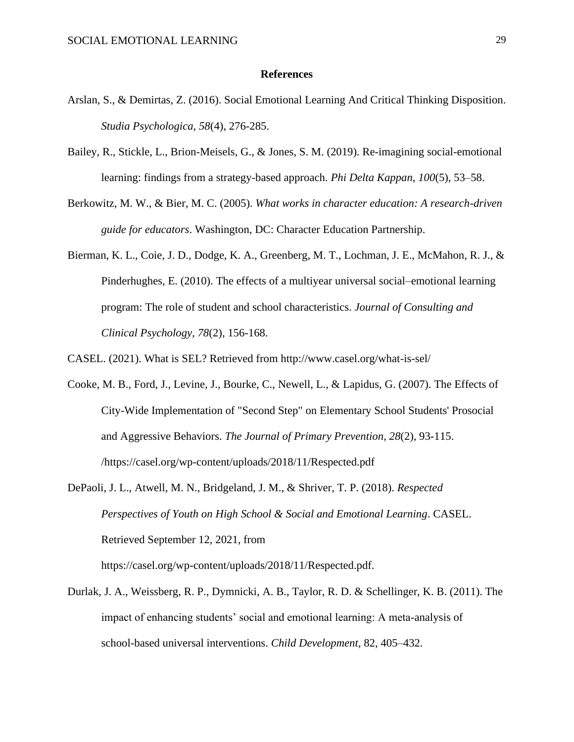#### **References**

- Arslan, S., & Demirtas, Z. (2016). Social Emotional Learning And Critical Thinking Disposition. *Studia Psychologica, 58*(4), 276-285.
- Bailey, R., Stickle, L., Brion-Meisels, G., & Jones, S. M. (2019). Re-imagining social-emotional learning: findings from a strategy-based approach. *Phi Delta Kappan*, *100*(5), 53–58.
- Berkowitz, M. W., & Bier, M. C. (2005). *What works in character education: A research-driven guide for educators*. Washington, DC: Character Education Partnership.
- Bierman, K. L., Coie, J. D., Dodge, K. A., Greenberg, M. T., Lochman, J. E., McMahon, R. J., & Pinderhughes, E. (2010). The effects of a multiyear universal social–emotional learning program: The role of student and school characteristics. *Journal of Consulting and Clinical Psychology, 78*(2), 156-168.

CASEL. (2021). What is SEL? Retrieved from http://www.casel.org/what-is-sel/

- Cooke, M. B., Ford, J., Levine, J., Bourke, C., Newell, L., & Lapidus, G. (2007). The Effects of City-Wide Implementation of "Second Step" on Elementary School Students' Prosocial and Aggressive Behaviors. *The Journal of Primary Prevention*, *28*(2), 93-115. /https://casel.org/wp-content/uploads/2018/11/Respected.pdf
- DePaoli, J. L., Atwell, M. N., Bridgeland, J. M., & Shriver, T. P. (2018). *Respected Perspectives of Youth on High School & Social and Emotional Learning*. CASEL. Retrieved September 12, 2021, from

https://casel.org/wp-content/uploads/2018/11/Respected.pdf.

Durlak, J. A., Weissberg, R. P., Dymnicki, A. B., Taylor, R. D. & Schellinger, K. B. (2011). The impact of enhancing students' social and emotional learning: A meta-analysis of school-based universal interventions. *Child Development,* 82, 405–432.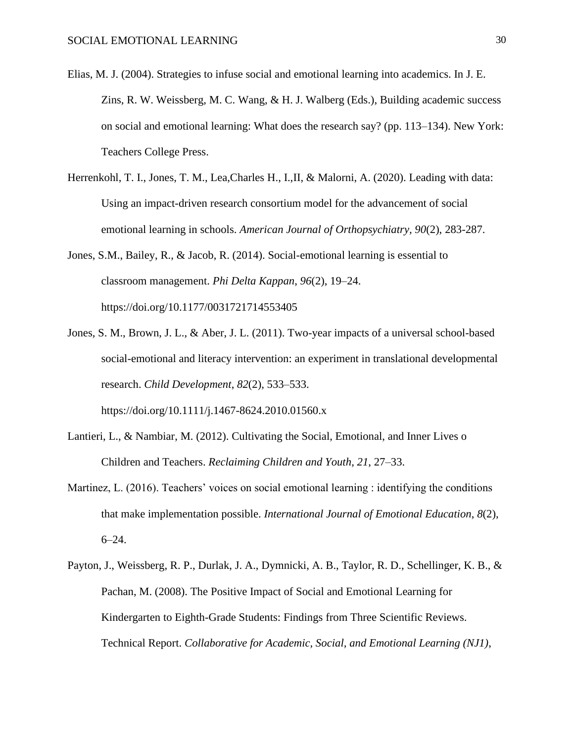- Elias, M. J. (2004). Strategies to infuse social and emotional learning into academics. In J. E. Zins, R. W. Weissberg, M. C. Wang, & H. J. Walberg (Eds.), Building academic success on social and emotional learning: What does the research say? (pp. 113–134). New York: Teachers College Press.
- Herrenkohl, T. I., Jones, T. M., Lea,Charles H., I.,II, & Malorni, A. (2020). Leading with data: Using an impact-driven research consortium model for the advancement of social emotional learning in schools. *American Journal of Orthopsychiatry, 90*(2), 283-287.
- Jones, S.M., Bailey, R., & Jacob, R. (2014). Social-emotional learning is essential to classroom management. *Phi Delta Kappan*, *96*(2), 19–24. https://doi.org/10.1177/0031721714553405
- Jones, S. M., Brown, J. L., & Aber, J. L. (2011). Two-year impacts of a universal school-based social-emotional and literacy intervention: an experiment in translational developmental research. *Child Development*, *82*(2), 533–533. https://doi.org/10.1111/j.1467-8624.2010.01560.x
- Lantieri, L., & Nambiar, M. (2012). Cultivating the Social, Emotional, and Inner Lives o Children and Teachers. *Reclaiming Children and Youth*, *21*, 27–33.
- Martinez, L. (2016). Teachers' voices on social emotional learning : identifying the conditions that make implementation possible. *International Journal of Emotional Education*, *8*(2),  $6 - 24.$
- Payton, J., Weissberg, R. P., Durlak, J. A., Dymnicki, A. B., Taylor, R. D., Schellinger, K. B., & Pachan, M. (2008). The Positive Impact of Social and Emotional Learning for Kindergarten to Eighth-Grade Students: Findings from Three Scientific Reviews. Technical Report. *Collaborative for Academic, Social, and Emotional Learning (NJ1)*,